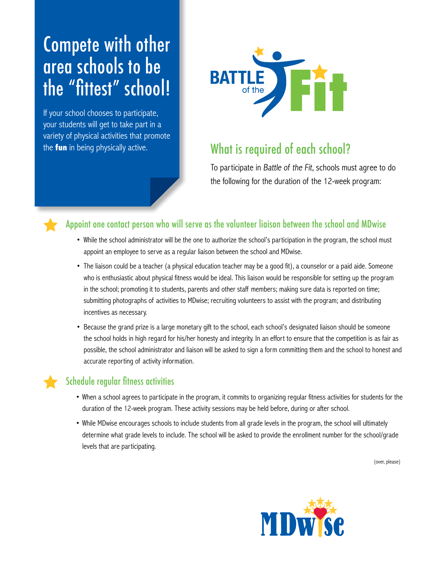# Compete with other area schools to be the "fittest" school!

If your school chooses to participate, your students will get to take part in a variety of physical activities that promote the **fun** in being physically active.



## What is required of each school?

To participate in Battle of the Fit, schools must agree to do the following for the duration of the 12-week program:

### Appoint one contact person who will serve as the volunteer liaison between the school and MDwise

- • While the school administrator will be the one to authorize the school's participation in the program, the school must appoint an employee to serve as a regular liaison between the school and MDwise.
- The liaison could be a teacher (a physical education teacher may be a good fit), a counselor or a paid aide. Someone who is enthusiastic about physical fitness would be ideal. This liaison would be responsible for setting up the program in the school; promoting it to students, parents and other staff members; making sure data is reported on time; submitting photographs of activities to MDwise; recruiting volunteers to assist with the program; and distributing incentives as necessary.
- • Because the grand prize is a large monetary gift to the school, each school's designated liaison should be someone the school holds in high regard for his/her honesty and integrity. In an effort to ensure that the competition is as fair as possible, the school administrator and liaison will be asked to sign a form committing them and the school to honest and accurate reporting of activity information.

### Schedule regular fitness activities

- • When a school agrees to participate in the program, it commits to organizing regular fitness activities for students for the duration of the 12-week program. These activity sessions may be held before, during or after school.
- • While MDwise encourages schools to include students from all grade levels in the program, the school will ultimately determine what grade levels to include. The school will be asked to provide the enrollment number for the school/grade levels that are participating.

(over, please)